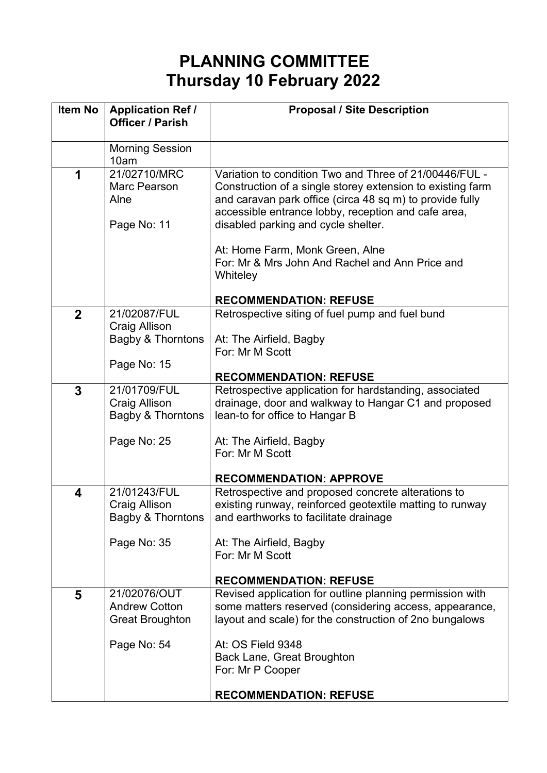## **PLANNING COMMITTEE Thursday 10 February 2022**

| <b>Item No</b> | <b>Application Ref /</b><br><b>Officer / Parish</b> | <b>Proposal / Site Description</b>                                                                                                                                                                                                                                                                                |
|----------------|-----------------------------------------------------|-------------------------------------------------------------------------------------------------------------------------------------------------------------------------------------------------------------------------------------------------------------------------------------------------------------------|
|                | <b>Morning Session</b><br>10am                      |                                                                                                                                                                                                                                                                                                                   |
| 1              | 21/02710/MRC<br>Marc Pearson<br>Alne<br>Page No: 11 | Variation to condition Two and Three of 21/00446/FUL -<br>Construction of a single storey extension to existing farm<br>and caravan park office (circa 48 sq m) to provide fully<br>accessible entrance lobby, reception and cafe area,<br>disabled parking and cycle shelter.<br>At: Home Farm, Monk Green, Alne |
|                |                                                     | For: Mr & Mrs John And Rachel and Ann Price and<br>Whiteley                                                                                                                                                                                                                                                       |
|                |                                                     | <b>RECOMMENDATION: REFUSE</b>                                                                                                                                                                                                                                                                                     |
| $\overline{2}$ | 21/02087/FUL<br><b>Craig Allison</b>                | Retrospective siting of fuel pump and fuel bund                                                                                                                                                                                                                                                                   |
|                | Bagby & Thorntons                                   | At: The Airfield, Bagby<br>For: Mr M Scott                                                                                                                                                                                                                                                                        |
|                |                                                     |                                                                                                                                                                                                                                                                                                                   |
|                | Page No: 15                                         | <b>RECOMMENDATION: REFUSE</b>                                                                                                                                                                                                                                                                                     |
| 3              | 21/01709/FUL                                        | Retrospective application for hardstanding, associated                                                                                                                                                                                                                                                            |
|                | <b>Craig Allison</b>                                | drainage, door and walkway to Hangar C1 and proposed                                                                                                                                                                                                                                                              |
|                | Bagby & Thorntons                                   | lean-to for office to Hangar B                                                                                                                                                                                                                                                                                    |
|                | Page No: 25                                         | At: The Airfield, Bagby                                                                                                                                                                                                                                                                                           |
|                |                                                     | For: Mr M Scott                                                                                                                                                                                                                                                                                                   |
|                |                                                     |                                                                                                                                                                                                                                                                                                                   |
|                |                                                     | <b>RECOMMENDATION: APPROVE</b>                                                                                                                                                                                                                                                                                    |
| 4              | 21/01243/FUL                                        | Retrospective and proposed concrete alterations to                                                                                                                                                                                                                                                                |
|                | <b>Craig Allison</b>                                | existing runway, reinforced geotextile matting to runway                                                                                                                                                                                                                                                          |
|                | <b>Bagby &amp; Thorntons</b>                        | and earthworks to facilitate drainage                                                                                                                                                                                                                                                                             |
|                | Page No: 35                                         | At: The Airfield, Bagby                                                                                                                                                                                                                                                                                           |
|                |                                                     | For: Mr M Scott                                                                                                                                                                                                                                                                                                   |
|                |                                                     |                                                                                                                                                                                                                                                                                                                   |
|                |                                                     | <b>RECOMMENDATION: REFUSE</b>                                                                                                                                                                                                                                                                                     |
| 5              | 21/02076/OUT                                        | Revised application for outline planning permission with                                                                                                                                                                                                                                                          |
|                | <b>Andrew Cotton</b>                                | some matters reserved (considering access, appearance,                                                                                                                                                                                                                                                            |
|                | <b>Great Broughton</b>                              | layout and scale) for the construction of 2no bungalows                                                                                                                                                                                                                                                           |
|                | Page No: 54                                         | At: OS Field 9348                                                                                                                                                                                                                                                                                                 |
|                |                                                     | <b>Back Lane, Great Broughton</b>                                                                                                                                                                                                                                                                                 |
|                |                                                     | For: Mr P Cooper                                                                                                                                                                                                                                                                                                  |
|                |                                                     |                                                                                                                                                                                                                                                                                                                   |
|                |                                                     | <b>RECOMMENDATION: REFUSE</b>                                                                                                                                                                                                                                                                                     |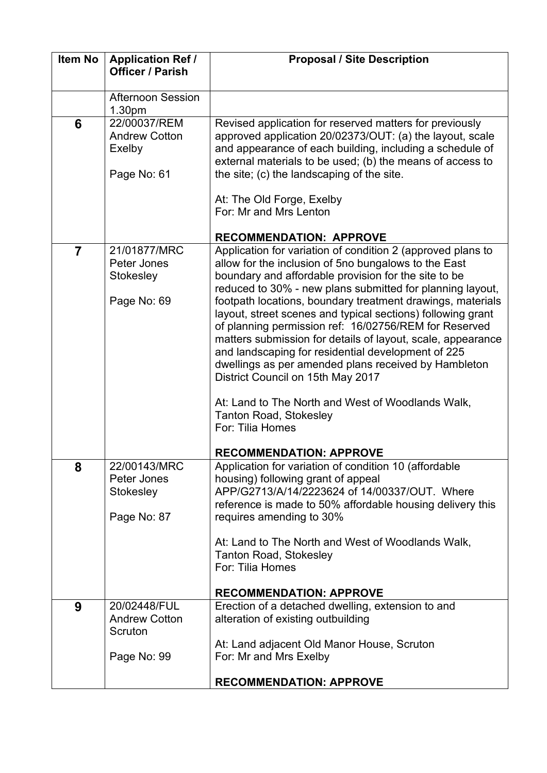| <b>Item No</b> | <b>Application Ref /</b><br><b>Officer / Parish</b>           | <b>Proposal / Site Description</b>                                                                                                                                                                                                                                                                                                                                                                                                                                                                                                                                                                                                                                                                                                                         |
|----------------|---------------------------------------------------------------|------------------------------------------------------------------------------------------------------------------------------------------------------------------------------------------------------------------------------------------------------------------------------------------------------------------------------------------------------------------------------------------------------------------------------------------------------------------------------------------------------------------------------------------------------------------------------------------------------------------------------------------------------------------------------------------------------------------------------------------------------------|
|                | <b>Afternoon Session</b><br>1.30pm                            |                                                                                                                                                                                                                                                                                                                                                                                                                                                                                                                                                                                                                                                                                                                                                            |
| 6              | 22/00037/REM<br><b>Andrew Cotton</b><br>Exelby<br>Page No: 61 | Revised application for reserved matters for previously<br>approved application 20/02373/OUT: (a) the layout, scale<br>and appearance of each building, including a schedule of<br>external materials to be used; (b) the means of access to<br>the site; (c) the landscaping of the site.<br>At: The Old Forge, Exelby<br>For: Mr and Mrs Lenton                                                                                                                                                                                                                                                                                                                                                                                                          |
|                |                                                               | <b>RECOMMENDATION: APPROVE</b>                                                                                                                                                                                                                                                                                                                                                                                                                                                                                                                                                                                                                                                                                                                             |
| $\overline{7}$ | 21/01877/MRC<br>Peter Jones<br>Stokesley<br>Page No: 69       | Application for variation of condition 2 (approved plans to<br>allow for the inclusion of 5no bungalows to the East<br>boundary and affordable provision for the site to be<br>reduced to 30% - new plans submitted for planning layout,<br>footpath locations, boundary treatment drawings, materials<br>layout, street scenes and typical sections) following grant<br>of planning permission ref: 16/02756/REM for Reserved<br>matters submission for details of layout, scale, appearance<br>and landscaping for residential development of 225<br>dwellings as per amended plans received by Hambleton<br>District Council on 15th May 2017<br>At: Land to The North and West of Woodlands Walk,<br><b>Tanton Road, Stokesley</b><br>For: Tilia Homes |
| 8              | 22/00143/MRC<br>Peter Jones<br>Stokesley<br>Page No: 87       | <b>RECOMMENDATION: APPROVE</b><br>Application for variation of condition 10 (affordable<br>housing) following grant of appeal<br>APP/G2713/A/14/2223624 of 14/00337/OUT. Where<br>reference is made to 50% affordable housing delivery this<br>requires amending to 30%<br>At: Land to The North and West of Woodlands Walk,<br><b>Tanton Road, Stokesley</b><br>For: Tilia Homes<br><b>RECOMMENDATION: APPROVE</b>                                                                                                                                                                                                                                                                                                                                        |
| 9              | 20/02448/FUL<br><b>Andrew Cotton</b>                          | Erection of a detached dwelling, extension to and<br>alteration of existing outbuilding                                                                                                                                                                                                                                                                                                                                                                                                                                                                                                                                                                                                                                                                    |
|                | Scruton<br>Page No: 99                                        | At: Land adjacent Old Manor House, Scruton<br>For: Mr and Mrs Exelby                                                                                                                                                                                                                                                                                                                                                                                                                                                                                                                                                                                                                                                                                       |
|                |                                                               | <b>RECOMMENDATION: APPROVE</b>                                                                                                                                                                                                                                                                                                                                                                                                                                                                                                                                                                                                                                                                                                                             |